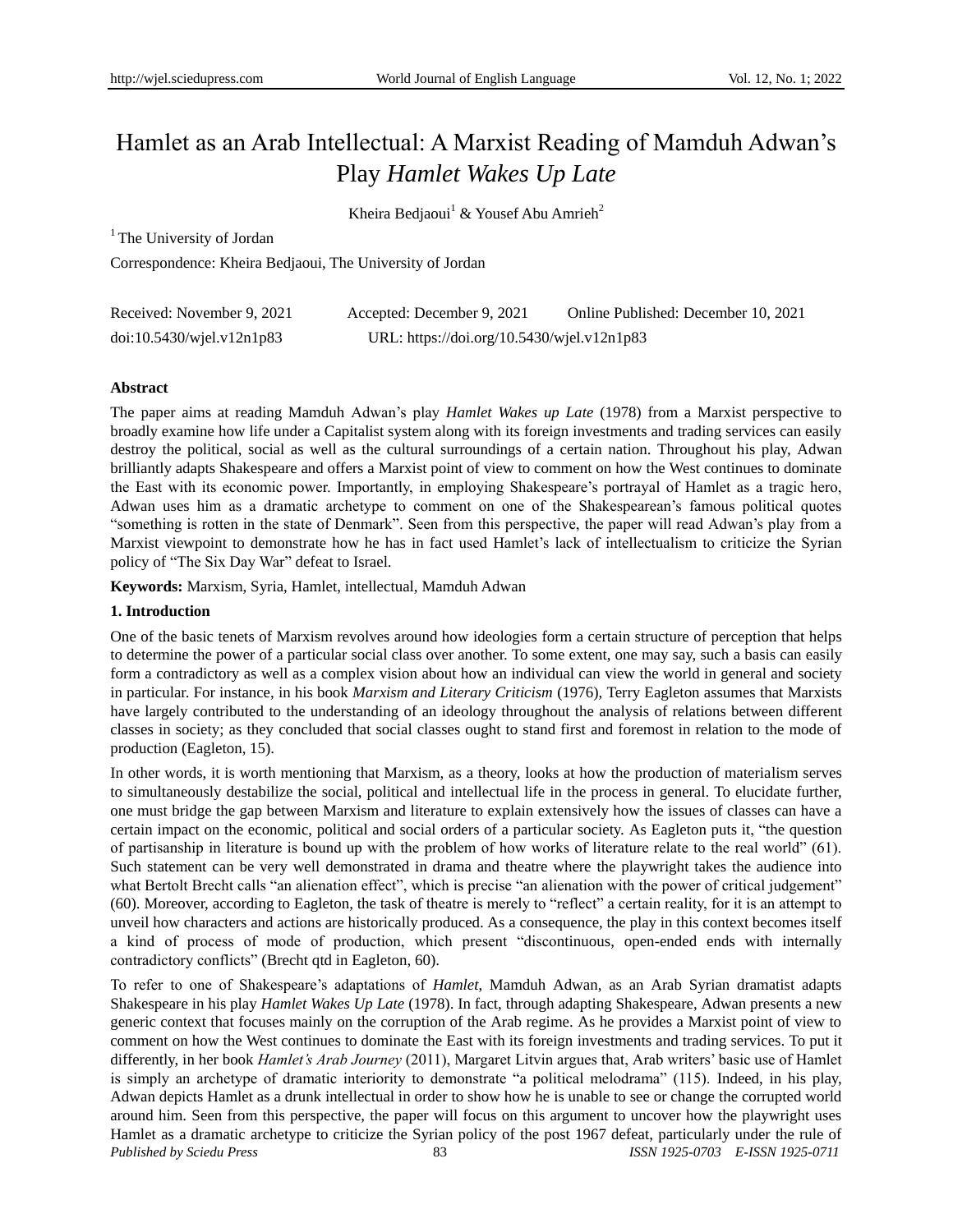# Hamlet as an Arab Intellectual: A Marxist Reading of Mamduh Adwan"s Play *Hamlet Wakes Up Late*

Kheira Bediaoui<sup>1</sup> & Yousef Abu Amrieh<sup>2</sup>

<sup>1</sup> The University of Jordan

Correspondence: Kheira Bedjaoui, The University of Jordan

| Received: November 9, 2021      | Accepted: December 9, 2021                 | Online Published: December 10, 2021 |
|---------------------------------|--------------------------------------------|-------------------------------------|
| $doi:10.5430/w$ jel.v $12n1p83$ | URL: https://doi.org/10.5430/wjel.v12n1p83 |                                     |

## **Abstract**

The paper aims at reading Mamduh Adwan"s play *Hamlet Wakes up Late* (1978) from a Marxist perspective to broadly examine how life under a Capitalist system along with its foreign investments and trading services can easily destroy the political, social as well as the cultural surroundings of a certain nation. Throughout his play, Adwan brilliantly adapts Shakespeare and offers a Marxist point of view to comment on how the West continues to dominate the East with its economic power. Importantly, in employing Shakespeare"s portrayal of Hamlet as a tragic hero, Adwan uses him as a dramatic archetype to comment on one of the Shakespearean"s famous political quotes "something is rotten in the state of Denmark". Seen from this perspective, the paper will read Adwan"s play from a Marxist viewpoint to demonstrate how he has in fact used Hamlet"s lack of intellectualism to criticize the Syrian policy of "The Six Day War" defeat to Israel.

**Keywords:** Marxism, Syria, Hamlet, intellectual, Mamduh Adwan

## **1. Introduction**

One of the basic tenets of Marxism revolves around how ideologies form a certain structure of perception that helps to determine the power of a particular social class over another. To some extent, one may say, such a basis can easily form a contradictory as well as a complex vision about how an individual can view the world in general and society in particular. For instance, in his book *Marxism and Literary Criticism* (1976), Terry Eagleton assumes that Marxists have largely contributed to the understanding of an ideology throughout the analysis of relations between different classes in society; as they concluded that social classes ought to stand first and foremost in relation to the mode of production (Eagleton, 15).

In other words, it is worth mentioning that Marxism, as a theory, looks at how the production of materialism serves to simultaneously destabilize the social, political and intellectual life in the process in general. To elucidate further, one must bridge the gap between Marxism and literature to explain extensively how the issues of classes can have a certain impact on the economic, political and social orders of a particular society. As Eagleton puts it, "the question of partisanship in literature is bound up with the problem of how works of literature relate to the real world" (61). Such statement can be very well demonstrated in drama and theatre where the playwright takes the audience into what Bertolt Brecht calls "an alienation effect", which is precise "an alienation with the power of critical judgement" (60). Moreover, according to Eagleton, the task of theatre is merely to "reflect" a certain reality, for it is an attempt to unveil how characters and actions are historically produced. As a consequence, the play in this context becomes itself a kind of process of mode of production, which present "discontinuous, open-ended ends with internally contradictory conflicts" (Brecht qtd in Eagleton, 60).

*Published by Sciedu Press* 83 *ISSN 1925-0703 E-ISSN 1925-0711* To refer to one of Shakespeare"s adaptations of *Hamlet*, Mamduh Adwan, as an Arab Syrian dramatist adapts Shakespeare in his play *Hamlet Wakes Up Late* (1978). In fact, through adapting Shakespeare, Adwan presents a new generic context that focuses mainly on the corruption of the Arab regime. As he provides a Marxist point of view to comment on how the West continues to dominate the East with its foreign investments and trading services. To put it differently, in her book *Hamlet's Arab Journey* (2011), Margaret Litvin argues that, Arab writers" basic use of Hamlet is simply an archetype of dramatic interiority to demonstrate "a political melodrama" (115). Indeed, in his play, Adwan depicts Hamlet as a drunk intellectual in order to show how he is unable to see or change the corrupted world around him. Seen from this perspective, the paper will focus on this argument to uncover how the playwright uses Hamlet as a dramatic archetype to criticize the Syrian policy of the post 1967 defeat, particularly under the rule of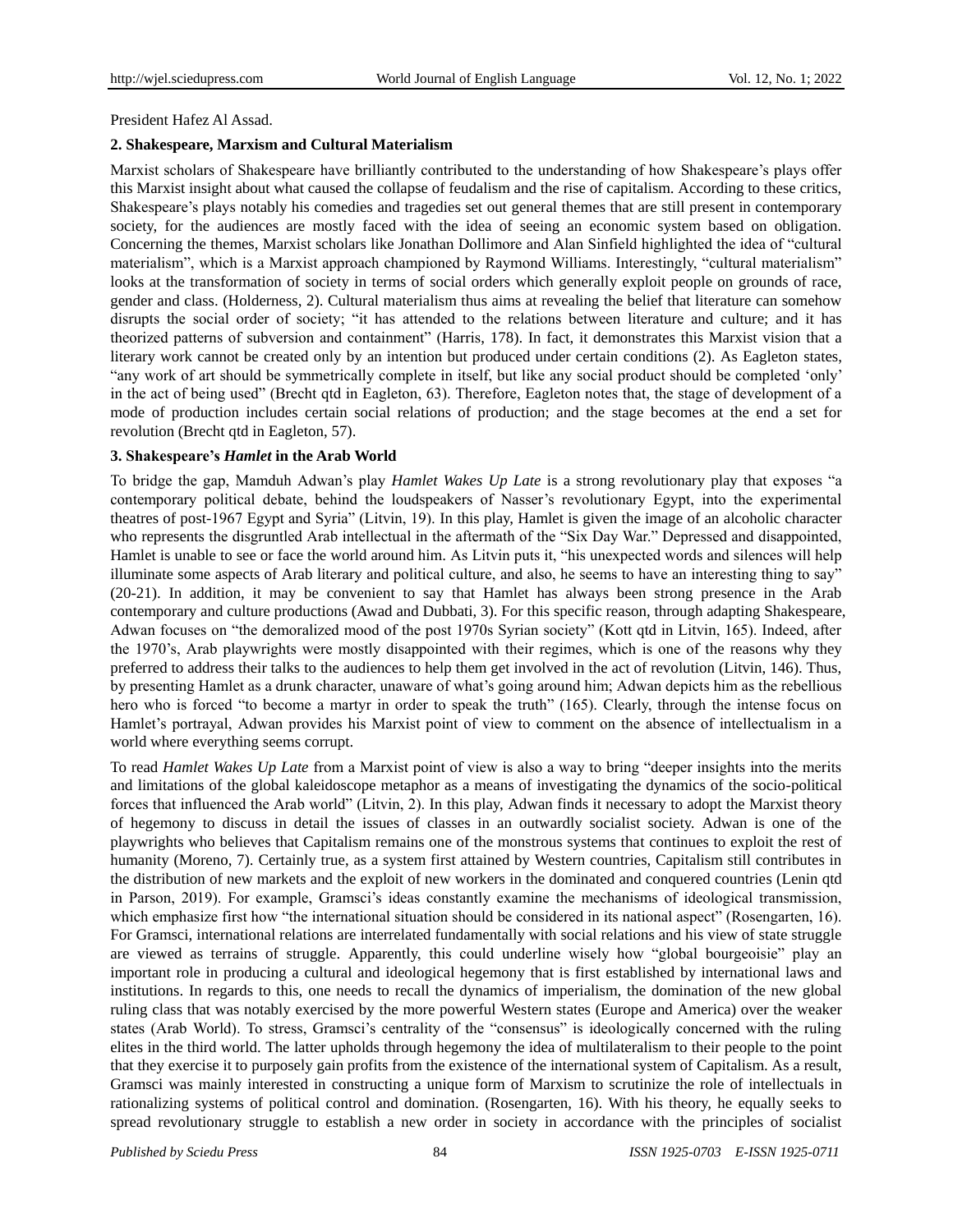President Hafez Al Assad.

# **2. Shakespeare, Marxism and Cultural Materialism**

Marxist scholars of Shakespeare have brilliantly contributed to the understanding of how Shakespeare"s plays offer this Marxist insight about what caused the collapse of feudalism and the rise of capitalism. According to these critics, Shakespeare"s plays notably his comedies and tragedies set out general themes that are still present in contemporary society, for the audiences are mostly faced with the idea of seeing an economic system based on obligation. Concerning the themes, Marxist scholars like Jonathan Dollimore and Alan Sinfield highlighted the idea of "cultural materialism", which is a Marxist approach championed by Raymond Williams. Interestingly, "cultural materialism" looks at the transformation of society in terms of social orders which generally exploit people on grounds of race, gender and class. (Holderness, 2). Cultural materialism thus aims at revealing the belief that literature can somehow disrupts the social order of society; "it has attended to the relations between literature and culture; and it has theorized patterns of subversion and containment" (Harris, 178). In fact, it demonstrates this Marxist vision that a literary work cannot be created only by an intention but produced under certain conditions (2). As Eagleton states, "any work of art should be symmetrically complete in itself, but like any social product should be completed "only" in the act of being used" (Brecht qtd in Eagleton, 63). Therefore, Eagleton notes that, the stage of development of a mode of production includes certain social relations of production; and the stage becomes at the end a set for revolution (Brecht qtd in Eagleton, 57).

# **3. Shakespeare's** *Hamlet* **in the Arab World**

To bridge the gap, Mamduh Adwan"s play *Hamlet Wakes Up Late* is a strong revolutionary play that exposes "a contemporary political debate, behind the loudspeakers of Nasser"s revolutionary Egypt, into the experimental theatres of post-1967 Egypt and Syria" (Litvin, 19). In this play, Hamlet is given the image of an alcoholic character who represents the disgruntled Arab intellectual in the aftermath of the "Six Day War." Depressed and disappointed, Hamlet is unable to see or face the world around him. As Litvin puts it, "his unexpected words and silences will help illuminate some aspects of Arab literary and political culture, and also, he seems to have an interesting thing to say" (20-21). In addition, it may be convenient to say that Hamlet has always been strong presence in the Arab contemporary and culture productions (Awad and Dubbati, 3). For this specific reason, through adapting Shakespeare, Adwan focuses on "the demoralized mood of the post 1970s Syrian society" (Kott qtd in Litvin, 165). Indeed, after the 1970"s, Arab playwrights were mostly disappointed with their regimes, which is one of the reasons why they preferred to address their talks to the audiences to help them get involved in the act of revolution (Litvin, 146). Thus, by presenting Hamlet as a drunk character, unaware of what"s going around him; Adwan depicts him as the rebellious hero who is forced "to become a martyr in order to speak the truth" (165). Clearly, through the intense focus on Hamlet"s portrayal, Adwan provides his Marxist point of view to comment on the absence of intellectualism in a world where everything seems corrupt.

To read *Hamlet Wakes Up Late* from a Marxist point of view is also a way to bring "deeper insights into the merits and limitations of the global kaleidoscope metaphor as a means of investigating the dynamics of the socio-political forces that influenced the Arab world" (Litvin, 2). In this play, Adwan finds it necessary to adopt the Marxist theory of hegemony to discuss in detail the issues of classes in an outwardly socialist society. Adwan is one of the playwrights who believes that Capitalism remains one of the monstrous systems that continues to exploit the rest of humanity (Moreno, 7). Certainly true, as a system first attained by Western countries, Capitalism still contributes in the distribution of new markets and the exploit of new workers in the dominated and conquered countries (Lenin qtd in Parson, 2019). For example, Gramsci's ideas constantly examine the mechanisms of ideological transmission, which emphasize first how "the international situation should be considered in its national aspect" (Rosengarten, 16). For Gramsci, international relations are interrelated fundamentally with social relations and his view of state struggle are viewed as terrains of struggle. Apparently, this could underline wisely how "global bourgeoisie" play an important role in producing a cultural and ideological hegemony that is first established by international laws and institutions. In regards to this, one needs to recall the dynamics of imperialism, the domination of the new global ruling class that was notably exercised by the more powerful Western states (Europe and America) over the weaker states (Arab World). To stress, Gramsci's centrality of the "consensus" is ideologically concerned with the ruling elites in the third world. The latter upholds through hegemony the idea of multilateralism to their people to the point that they exercise it to purposely gain profits from the existence of the international system of Capitalism. As a result, Gramsci was mainly interested in constructing a unique form of Marxism to scrutinize the role of intellectuals in rationalizing systems of political control and domination. (Rosengarten, 16). With his theory, he equally seeks to spread revolutionary struggle to establish a new order in society in accordance with the principles of socialist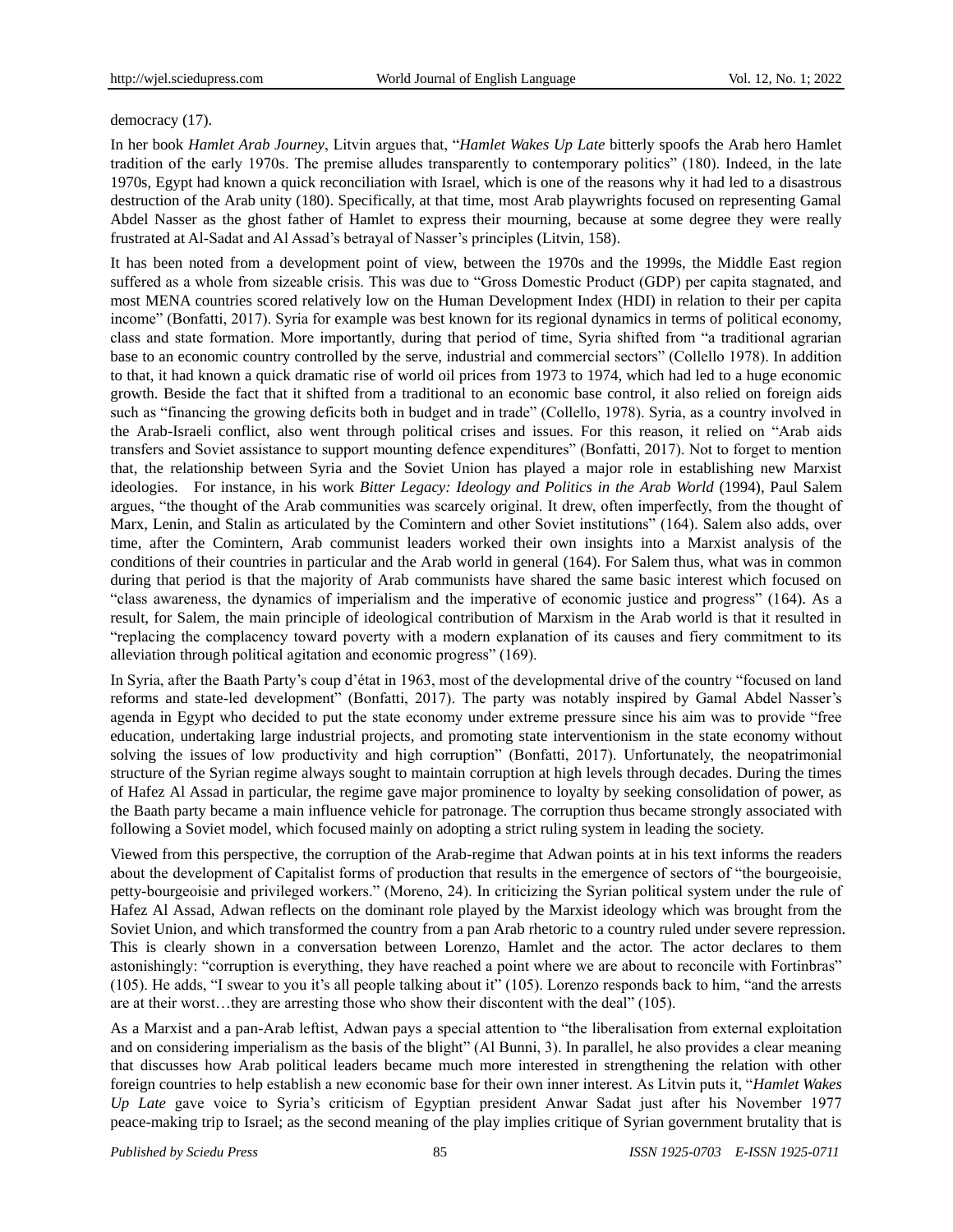## democracy (17).

In her book *Hamlet Arab Journey*, Litvin argues that, "*Hamlet Wakes Up Late* bitterly spoofs the Arab hero Hamlet tradition of the early 1970s. The premise alludes transparently to contemporary politics" (180). Indeed, in the late 1970s, Egypt had known a quick reconciliation with Israel, which is one of the reasons why it had led to a disastrous destruction of the Arab unity (180). Specifically, at that time, most Arab playwrights focused on representing Gamal Abdel Nasser as the ghost father of Hamlet to express their mourning, because at some degree they were really frustrated at Al-Sadat and Al Assad"s betrayal of Nasser"s principles (Litvin, 158).

It has been noted from a development point of view, between the 1970s and the 1999s, the Middle East region suffered as a whole from sizeable crisis. This was due to "Gross Domestic Product (GDP) per capita stagnated, and most MENA countries scored relatively low on the Human Development Index (HDI) in relation to their per capita income" (Bonfatti, 2017). Syria for example was best known for its regional dynamics in terms of political economy, class and state formation. More importantly, during that period of time, Syria shifted from "a traditional agrarian base to an economic country controlled by the serve, industrial and commercial sectors" (Collello 1978). In addition to that, it had known a quick dramatic rise of world oil prices from 1973 to 1974, which had led to a huge economic growth. Beside the fact that it shifted from a traditional to an economic base control, it also relied on foreign aids such as "financing the growing deficits both in budget and in trade" (Collello, 1978). Syria, as a country involved in the Arab-Israeli conflict, also went through political crises and issues. For this reason, it relied on "Arab aids transfers and Soviet assistance to support mounting defence expenditures" (Bonfatti, 2017). Not to forget to mention that, the relationship between Syria and the Soviet Union has played a major role in establishing new Marxist ideologies. For instance, in his work *Bitter Legacy: Ideology and Politics in the Arab World* (1994), Paul Salem argues, "the thought of the Arab communities was scarcely original. It drew, often imperfectly, from the thought of Marx, Lenin, and Stalin as articulated by the Comintern and other Soviet institutions" (164). Salem also adds, over time, after the Comintern, Arab communist leaders worked their own insights into a Marxist analysis of the conditions of their countries in particular and the Arab world in general (164). For Salem thus, what was in common during that period is that the majority of Arab communists have shared the same basic interest which focused on "class awareness, the dynamics of imperialism and the imperative of economic justice and progress" (164). As a result, for Salem, the main principle of ideological contribution of Marxism in the Arab world is that it resulted in "replacing the complacency toward poverty with a modern explanation of its causes and fiery commitment to its alleviation through political agitation and economic progress" (169).

In Syria, after the Baath Party"s coup d"état in 1963, most of the developmental drive of the country "focused on land reforms and state-led development" (Bonfatti, 2017). The party was notably inspired by Gamal Abdel Nasser"s agenda in Egypt who decided to put the state economy under extreme pressure since his aim was to provide "free education, undertaking large industrial projects, and promoting state interventionism in the state economy [without](http://www.lse.ac.uk/middleEastCentre/publications/Paper-Series/UprisingoftheMarginalised.pdf)  [solving the issues](http://www.lse.ac.uk/middleEastCentre/publications/Paper-Series/UprisingoftheMarginalised.pdf) of low productivity and high corruption" (Bonfatti, 2017). Unfortunately, the neopatrimonial structure of the Syrian regime always sought to maintain corruption at high levels through decades. During the times of Hafez Al Assad in particular, the regime gave major prominence to loyalty by seeking consolidation of power, as the Baath party became a main influence vehicle for patronage. The corruption thus became strongly associated with following a Soviet model, which focused mainly on adopting a strict ruling system in leading the society.

Viewed from this perspective, the corruption of the Arab-regime that Adwan points at in his text informs the readers about the development of Capitalist forms of production that results in the emergence of sectors of "the bourgeoisie, petty-bourgeoisie and privileged workers." (Moreno, 24). In criticizing the Syrian political system under the rule of Hafez Al Assad, Adwan reflects on the dominant role played by the Marxist ideology which was brought from the Soviet Union, and which transformed the country from a pan Arab rhetoric to a country ruled under severe repression. This is clearly shown in a conversation between Lorenzo, Hamlet and the actor. The actor declares to them astonishingly: "corruption is everything, they have reached a point where we are about to reconcile with Fortinbras" (105). He adds, "I swear to you it's all people talking about it" (105). Lorenzo responds back to him, "and the arrests are at their worst…they are arresting those who show their discontent with the deal" (105).

As a Marxist and a pan-Arab leftist, Adwan pays a special attention to "the liberalisation from external exploitation and on considering imperialism as the basis of the blight" (Al Bunni, 3). In parallel, he also provides a clear meaning that discusses how Arab political leaders became much more interested in strengthening the relation with other foreign countries to help establish a new economic base for their own inner interest. As Litvin puts it, "*Hamlet Wakes Up Late* gave voice to Syria"s criticism of Egyptian president Anwar Sadat just after his November 1977 peace-making trip to Israel; as the second meaning of the play implies critique of Syrian government brutality that is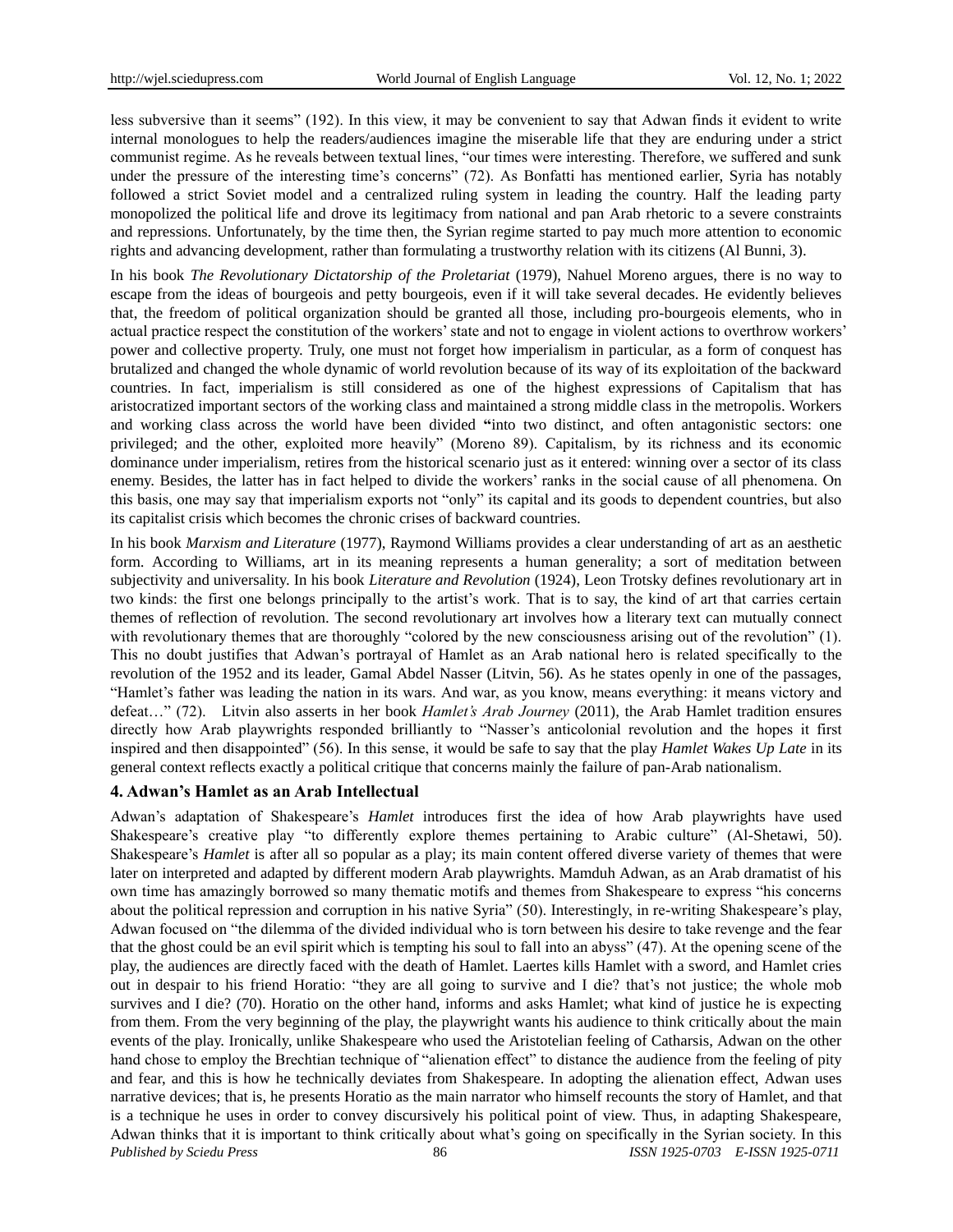less subversive than it seems" (192). In this view, it may be convenient to say that Adwan finds it evident to write internal monologues to help the readers/audiences imagine the miserable life that they are enduring under a strict communist regime. As he reveals between textual lines, "our times were interesting. Therefore, we suffered and sunk under the pressure of the interesting time"s concerns" (72). As Bonfatti has mentioned earlier, Syria has notably followed a strict Soviet model and a centralized ruling system in leading the country. Half the leading party monopolized the political life and drove its legitimacy from national and pan Arab rhetoric to a severe constraints and repressions. Unfortunately, by the time then, the Syrian regime started to pay much more attention to economic rights and advancing development, rather than formulating a trustworthy relation with its citizens (Al Bunni, 3).

In his book *The Revolutionary Dictatorship of the Proletariat* (1979), Nahuel Moreno argues, there is no way to escape from the ideas of bourgeois and petty bourgeois, even if it will take several decades. He evidently believes that, the freedom of political organization should be granted all those, including pro-bourgeois elements, who in actual practice respect the constitution of the workers" state and not to engage in violent actions to overthrow workers" power and collective property. Truly, one must not forget how imperialism in particular, as a form of conquest has brutalized and changed the whole dynamic of world revolution because of its way of its exploitation of the backward countries. In fact, imperialism is still considered as one of the highest expressions of Capitalism that has aristocratized important sectors of the working class and maintained a strong middle class in the metropolis. Workers and working class across the world have been divided **"**into two distinct, and often antagonistic sectors: one privileged; and the other, exploited more heavily" (Moreno 89). Capitalism, by its richness and its economic dominance under imperialism, retires from the historical scenario just as it entered: winning over a sector of its class enemy. Besides, the latter has in fact helped to divide the workers" ranks in the social cause of all phenomena. On this basis, one may say that imperialism exports not "only" its capital and its goods to dependent countries, but also its capitalist crisis which becomes the chronic crises of backward countries.

In his book *Marxism and Literature* (1977), Raymond Williams provides a clear understanding of art as an aesthetic form. According to Williams, art in its meaning represents a human generality; a sort of meditation between subjectivity and universality. In his book *Literature and Revolution* (1924), Leon Trotsky defines revolutionary art in two kinds: the first one belongs principally to the artist"s work. That is to say, the kind of art that carries certain themes of reflection of revolution. The second revolutionary art involves how a literary text can mutually connect with revolutionary themes that are thoroughly "colored by the new consciousness arising out of the revolution" (1). This no doubt justifies that Adwan"s portrayal of Hamlet as an Arab national hero is related specifically to the revolution of the 1952 and its leader, Gamal Abdel Nasser (Litvin, 56). As he states openly in one of the passages, "Hamlet's father was leading the nation in its wars. And war, as you know, means everything: it means victory and defeat…" (72). Litvin also asserts in her book *Hamlet's Arab Journey* (2011), the Arab Hamlet tradition ensures directly how Arab playwrights responded brilliantly to "Nasser's anticolonial revolution and the hopes it first inspired and then disappointed" (56). In this sense, it would be safe to say that the play *Hamlet Wakes Up Late* in its general context reflects exactly a political critique that concerns mainly the failure of pan-Arab nationalism.

### **4. Adwan's Hamlet as an Arab Intellectual**

*Published by Sciedu Press* 86 *ISSN 1925-0703 E-ISSN 1925-0711* Adwan"s adaptation of Shakespeare"s *Hamlet* introduces first the idea of how Arab playwrights have used Shakespeare's creative play "to differently explore themes pertaining to Arabic culture" (Al-Shetawi, 50). Shakespeare's *Hamlet* is after all so popular as a play; its main content offered diverse variety of themes that were later on interpreted and adapted by different modern Arab playwrights. Mamduh Adwan, as an Arab dramatist of his own time has amazingly borrowed so many thematic motifs and themes from Shakespeare to express "his concerns about the political repression and corruption in his native Syria" (50). Interestingly, in re-writing Shakespeare"s play, Adwan focused on "the dilemma of the divided individual who is torn between his desire to take revenge and the fear that the ghost could be an evil spirit which is tempting his soul to fall into an abyss" (47). At the opening scene of the play, the audiences are directly faced with the death of Hamlet. Laertes kills Hamlet with a sword, and Hamlet cries out in despair to his friend Horatio: "they are all going to survive and I die? that"s not justice; the whole mob survives and I die? (70). Horatio on the other hand, informs and asks Hamlet; what kind of justice he is expecting from them. From the very beginning of the play, the playwright wants his audience to think critically about the main events of the play. Ironically, unlike Shakespeare who used the Aristotelian feeling of Catharsis, Adwan on the other hand chose to employ the Brechtian technique of "alienation effect" to distance the audience from the feeling of pity and fear, and this is how he technically deviates from Shakespeare. In adopting the alienation effect, Adwan uses narrative devices; that is, he presents Horatio as the main narrator who himself recounts the story of Hamlet, and that is a technique he uses in order to convey discursively his political point of view. Thus, in adapting Shakespeare, Adwan thinks that it is important to think critically about what"s going on specifically in the Syrian society. In this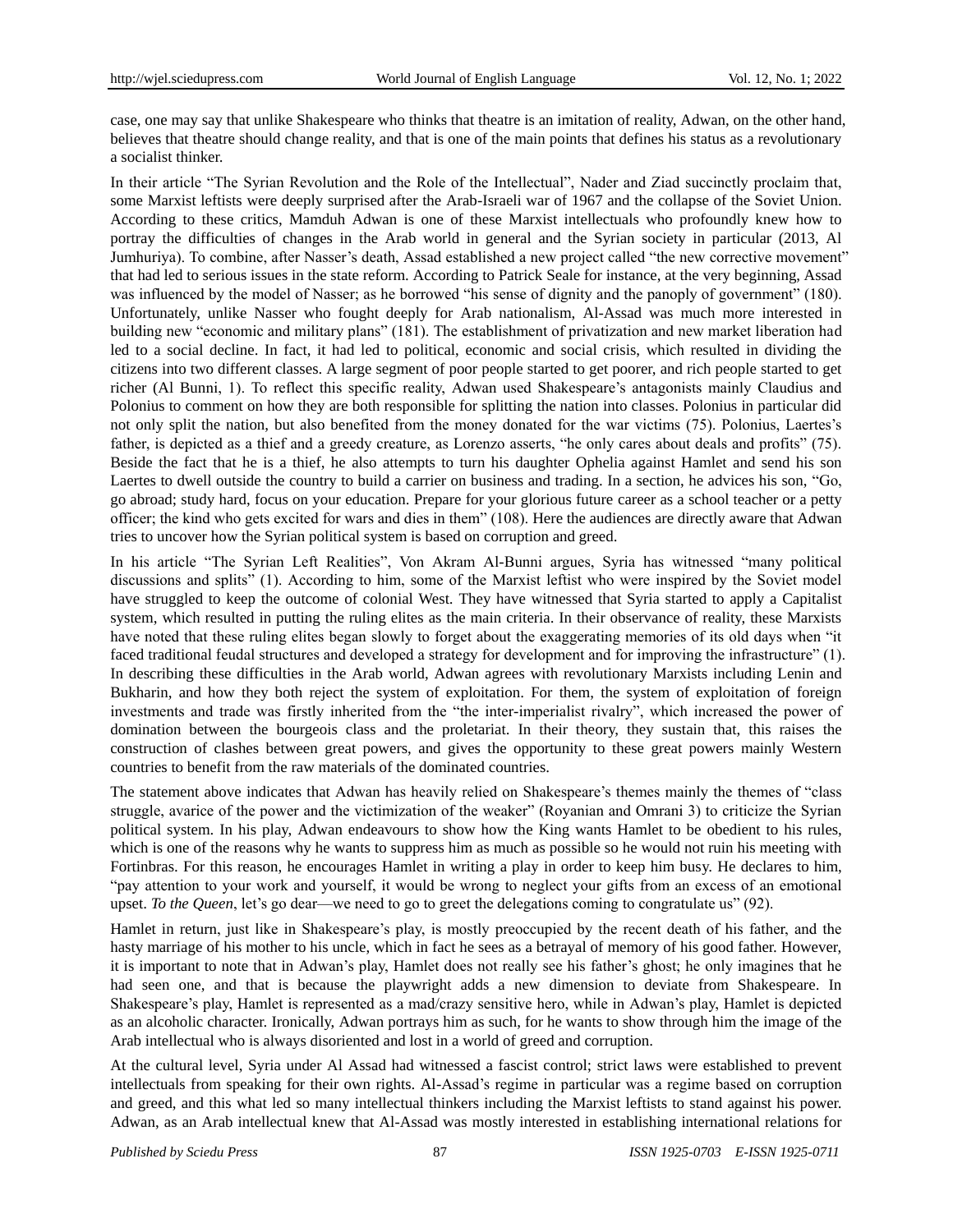case, one may say that unlike Shakespeare who thinks that theatre is an imitation of reality, Adwan, on the other hand, believes that theatre should change reality, and that is one of the main points that defines his status as a revolutionary a socialist thinker.

In their article "The Syrian Revolution and the Role of the Intellectual", Nader and Ziad succinctly proclaim that, some Marxist leftists were deeply surprised after the Arab-Israeli war of 1967 and the collapse of the Soviet Union. According to these critics, Mamduh Adwan is one of these Marxist intellectuals who profoundly knew how to portray the difficulties of changes in the Arab world in general and the Syrian society in particular (2013, Al Jumhuriya). To combine, after Nasser's death, Assad established a new project called "the new corrective movement" that had led to serious issues in the state reform. According to Patrick Seale for instance, at the very beginning, Assad was influenced by the model of Nasser; as he borrowed "his sense of dignity and the panoply of government" (180). Unfortunately, unlike Nasser who fought deeply for Arab nationalism, Al-Assad was much more interested in building new "economic and military plans" (181). The establishment of privatization and new market liberation had led to a social decline. In fact, it had led to political, economic and social crisis, which resulted in dividing the citizens into two different classes. A large segment of poor people started to get poorer, and rich people started to get richer (Al Bunni, 1). To reflect this specific reality, Adwan used Shakespeare's antagonists mainly Claudius and Polonius to comment on how they are both responsible for splitting the nation into classes. Polonius in particular did not only split the nation, but also benefited from the money donated for the war victims (75). Polonius, Laertes"s father, is depicted as a thief and a greedy creature, as Lorenzo asserts, "he only cares about deals and profits" (75). Beside the fact that he is a thief, he also attempts to turn his daughter Ophelia against Hamlet and send his son Laertes to dwell outside the country to build a carrier on business and trading. In a section, he advices his son, "Go, go abroad; study hard, focus on your education. Prepare for your glorious future career as a school teacher or a petty officer; the kind who gets excited for wars and dies in them" (108). Here the audiences are directly aware that Adwan tries to uncover how the Syrian political system is based on corruption and greed.

In his article "The Syrian Left Realities", Von Akram Al-Bunni argues, Syria has witnessed "many political discussions and splits" (1). According to him, some of the Marxist leftist who were inspired by the Soviet model have struggled to keep the outcome of colonial West. They have witnessed that Syria started to apply a Capitalist system, which resulted in putting the ruling elites as the main criteria. In their observance of reality, these Marxists have noted that these ruling elites began slowly to forget about the exaggerating memories of its old days when "it faced traditional feudal structures and developed a strategy for development and for improving the infrastructure" (1). In describing these difficulties in the Arab world, Adwan agrees with revolutionary Marxists including Lenin and Bukharin, and how they both reject the system of exploitation. For them, the system of exploitation of foreign investments and trade was firstly inherited from the "the inter-imperialist rivalry", which increased the power of domination between the bourgeois class and the proletariat. In their theory, they sustain that, this raises the construction of clashes between great powers, and gives the opportunity to these great powers mainly Western countries to benefit from the raw materials of the dominated countries.

The statement above indicates that Adwan has heavily relied on Shakespeare's themes mainly the themes of "class" struggle, avarice of the power and the victimization of the weaker" (Royanian and Omrani 3) to criticize the Syrian political system. In his play, Adwan endeavours to show how the King wants Hamlet to be obedient to his rules, which is one of the reasons why he wants to suppress him as much as possible so he would not ruin his meeting with Fortinbras. For this reason, he encourages Hamlet in writing a play in order to keep him busy. He declares to him, "pay attention to your work and yourself, it would be wrong to neglect your gifts from an excess of an emotional upset. *To the Queen*, let's go dear—we need to go to greet the delegations coming to congratulate us" (92).

Hamlet in return, just like in Shakespeare"s play, is mostly preoccupied by the recent death of his father, and the hasty marriage of his mother to his uncle, which in fact he sees as a betrayal of memory of his good father. However, it is important to note that in Adwan"s play, Hamlet does not really see his father"s ghost; he only imagines that he had seen one, and that is because the playwright adds a new dimension to deviate from Shakespeare. In Shakespeare"s play, Hamlet is represented as a mad/crazy sensitive hero, while in Adwan"s play, Hamlet is depicted as an alcoholic character. Ironically, Adwan portrays him as such, for he wants to show through him the image of the Arab intellectual who is always disoriented and lost in a world of greed and corruption.

At the cultural level, Syria under Al Assad had witnessed a fascist control; strict laws were established to prevent intellectuals from speaking for their own rights. Al-Assad's regime in particular was a regime based on corruption and greed, and this what led so many intellectual thinkers including the Marxist leftists to stand against his power. Adwan, as an Arab intellectual knew that Al-Assad was mostly interested in establishing international relations for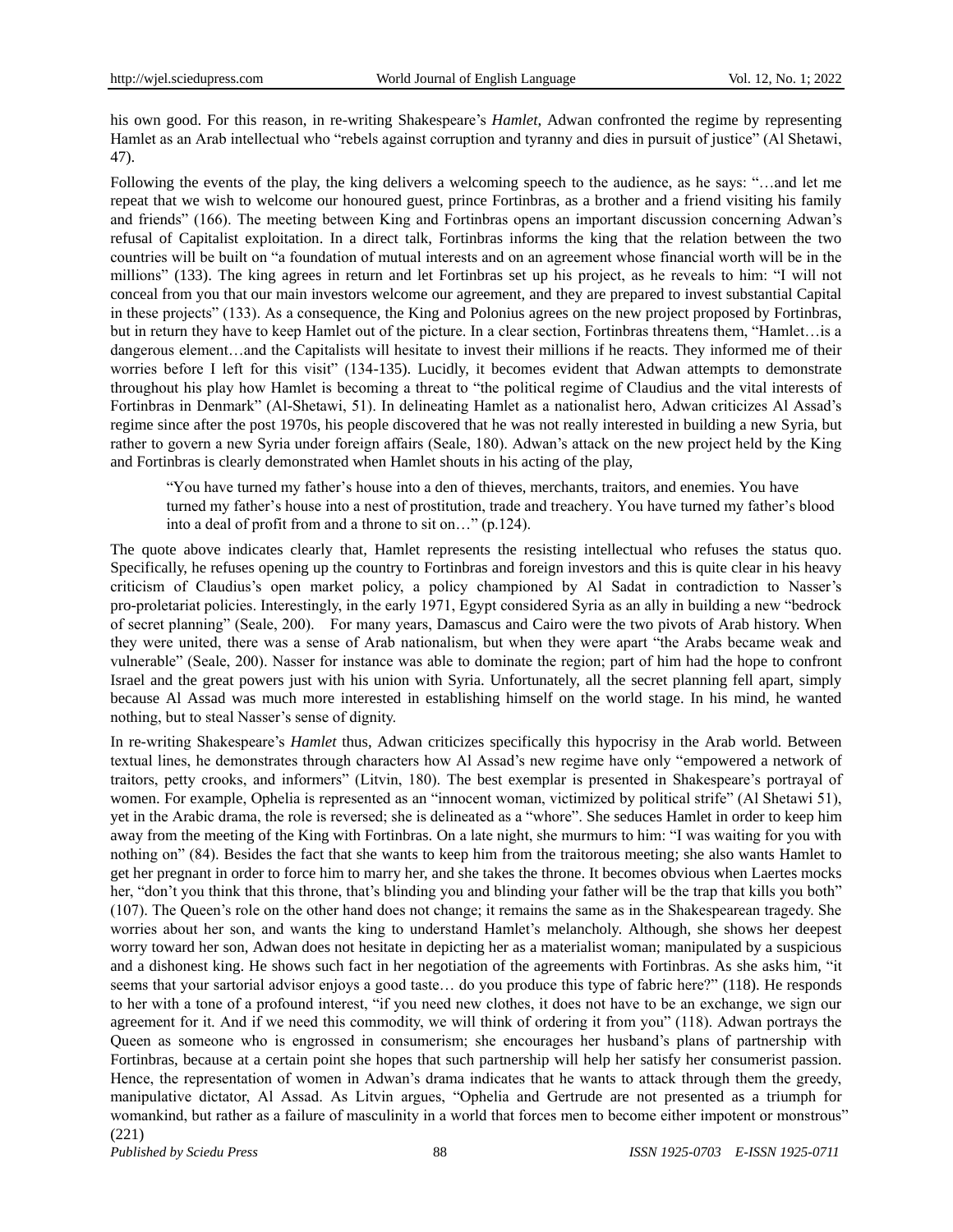his own good. For this reason, in re-writing Shakespeare's *Hamlet*, Adwan confronted the regime by representing Hamlet as an Arab intellectual who "rebels against corruption and tyranny and dies in pursuit of justice" (Al Shetawi, 47).

Following the events of the play, the king delivers a welcoming speech to the audience, as he says: "…and let me repeat that we wish to welcome our honoured guest, prince Fortinbras, as a brother and a friend visiting his family and friends" (166). The meeting between King and Fortinbras opens an important discussion concerning Adwan"s refusal of Capitalist exploitation. In a direct talk, Fortinbras informs the king that the relation between the two countries will be built on "a foundation of mutual interests and on an agreement whose financial worth will be in the millions" (133). The king agrees in return and let Fortinbras set up his project, as he reveals to him: "I will not conceal from you that our main investors welcome our agreement, and they are prepared to invest substantial Capital in these projects" (133). As a consequence, the King and Polonius agrees on the new project proposed by Fortinbras, but in return they have to keep Hamlet out of the picture. In a clear section, Fortinbras threatens them, "Hamlet…is a dangerous element…and the Capitalists will hesitate to invest their millions if he reacts. They informed me of their worries before I left for this visit" (134-135). Lucidly, it becomes evident that Adwan attempts to demonstrate throughout his play how Hamlet is becoming a threat to "the political regime of Claudius and the vital interests of Fortinbras in Denmark" (Al-Shetawi, 51). In delineating Hamlet as a nationalist hero, Adwan criticizes Al Assad"s regime since after the post 1970s, his people discovered that he was not really interested in building a new Syria, but rather to govern a new Syria under foreign affairs (Seale, 180). Adwan"s attack on the new project held by the King and Fortinbras is clearly demonstrated when Hamlet shouts in his acting of the play,

"You have turned my father"s house into a den of thieves, merchants, traitors, and enemies. You have turned my father"s house into a nest of prostitution, trade and treachery. You have turned my father"s blood into a deal of profit from and a throne to sit on…" (p.124).

The quote above indicates clearly that, Hamlet represents the resisting intellectual who refuses the status quo. Specifically, he refuses opening up the country to Fortinbras and foreign investors and this is quite clear in his heavy criticism of Claudius"s open market policy, a policy championed by Al Sadat in contradiction to Nasser"s pro-proletariat policies. Interestingly, in the early 1971, Egypt considered Syria as an ally in building a new "bedrock of secret planning" (Seale, 200). For many years, Damascus and Cairo were the two pivots of Arab history. When they were united, there was a sense of Arab nationalism, but when they were apart "the Arabs became weak and vulnerable" (Seale, 200). Nasser for instance was able to dominate the region; part of him had the hope to confront Israel and the great powers just with his union with Syria. Unfortunately, all the secret planning fell apart, simply because Al Assad was much more interested in establishing himself on the world stage. In his mind, he wanted nothing, but to steal Nasser's sense of dignity.

In re-writing Shakespeare"s *Hamlet* thus, Adwan criticizes specifically this hypocrisy in the Arab world. Between textual lines, he demonstrates through characters how Al Assad"s new regime have only "empowered a network of traitors, petty crooks, and informers" (Litvin, 180). The best exemplar is presented in Shakespeare"s portrayal of women. For example, Ophelia is represented as an "innocent woman, victimized by political strife" (Al Shetawi 51), yet in the Arabic drama, the role is reversed; she is delineated as a "whore". She seduces Hamlet in order to keep him away from the meeting of the King with Fortinbras. On a late night, she murmurs to him: "I was waiting for you with nothing on" (84). Besides the fact that she wants to keep him from the traitorous meeting; she also wants Hamlet to get her pregnant in order to force him to marry her, and she takes the throne. It becomes obvious when Laertes mocks her, "don't you think that this throne, that's blinding you and blinding your father will be the trap that kills you both" (107). The Queen"s role on the other hand does not change; it remains the same as in the Shakespearean tragedy. She worries about her son, and wants the king to understand Hamlet's melancholy. Although, she shows her deepest worry toward her son, Adwan does not hesitate in depicting her as a materialist woman; manipulated by a suspicious and a dishonest king. He shows such fact in her negotiation of the agreements with Fortinbras. As she asks him, "it seems that your sartorial advisor enjoys a good taste… do you produce this type of fabric here?" (118). He responds to her with a tone of a profound interest, "if you need new clothes, it does not have to be an exchange, we sign our agreement for it. And if we need this commodity, we will think of ordering it from you" (118). Adwan portrays the Queen as someone who is engrossed in consumerism; she encourages her husband"s plans of partnership with Fortinbras, because at a certain point she hopes that such partnership will help her satisfy her consumerist passion. Hence, the representation of women in Adwan"s drama indicates that he wants to attack through them the greedy, manipulative dictator, Al Assad. As Litvin argues, "Ophelia and Gertrude are not presented as a triumph for womankind, but rather as a failure of masculinity in a world that forces men to become either impotent or monstrous" (221)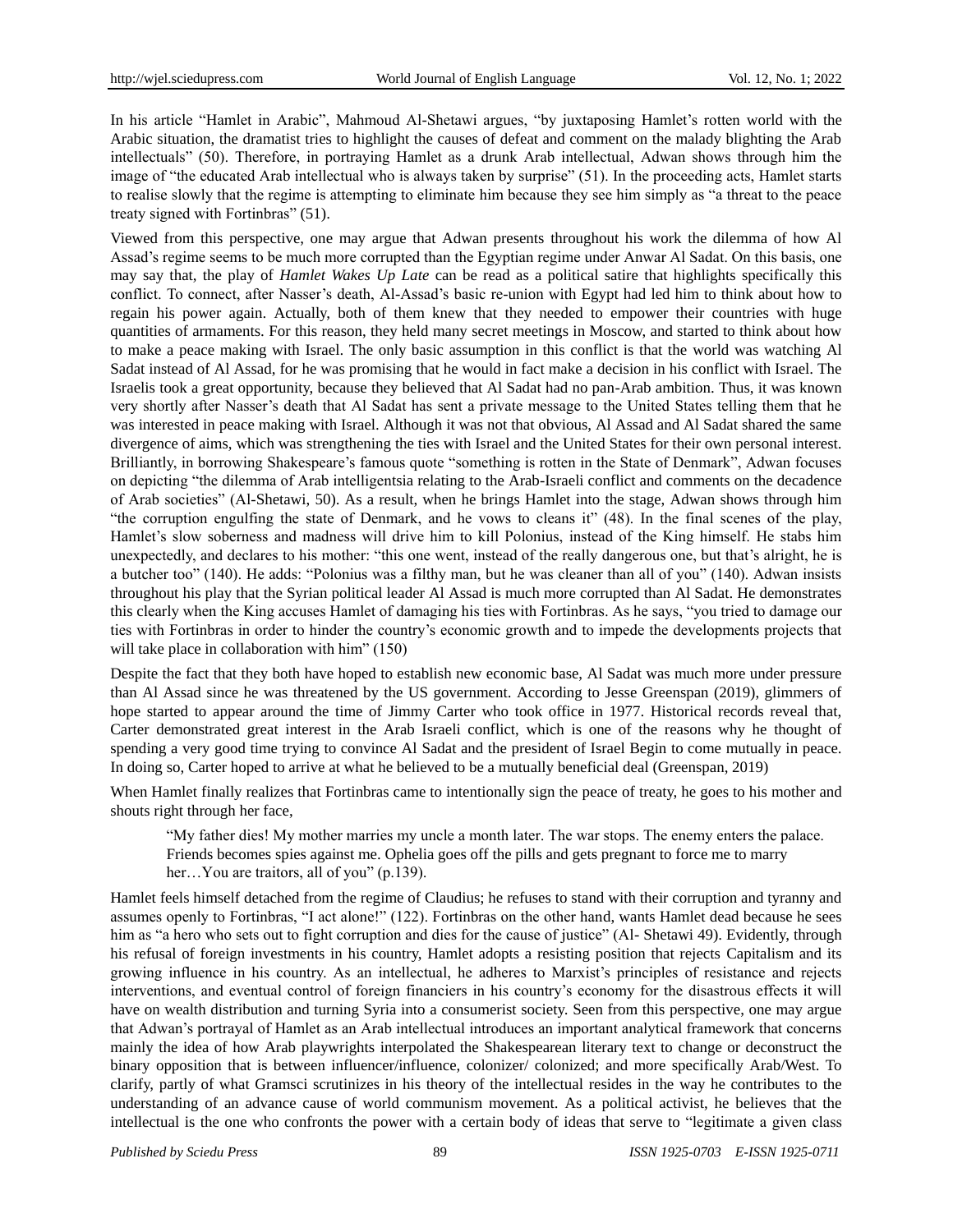In his article "Hamlet in Arabic", Mahmoud Al-Shetawi argues, "by juxtaposing Hamlet's rotten world with the Arabic situation, the dramatist tries to highlight the causes of defeat and comment on the malady blighting the Arab intellectuals" (50). Therefore, in portraying Hamlet as a drunk Arab intellectual, Adwan shows through him the image of "the educated Arab intellectual who is always taken by surprise" (51). In the proceeding acts, Hamlet starts to realise slowly that the regime is attempting to eliminate him because they see him simply as "a threat to the peace treaty signed with Fortinbras" (51).

Viewed from this perspective, one may argue that Adwan presents throughout his work the dilemma of how Al Assad's regime seems to be much more corrupted than the Egyptian regime under Anwar Al Sadat. On this basis, one may say that, the play of *Hamlet Wakes Up Late* can be read as a political satire that highlights specifically this conflict. To connect, after Nasser's death, Al-Assad's basic re-union with Egypt had led him to think about how to regain his power again. Actually, both of them knew that they needed to empower their countries with huge quantities of armaments. For this reason, they held many secret meetings in Moscow, and started to think about how to make a peace making with Israel. The only basic assumption in this conflict is that the world was watching Al Sadat instead of Al Assad, for he was promising that he would in fact make a decision in his conflict with Israel. The Israelis took a great opportunity, because they believed that Al Sadat had no pan-Arab ambition. Thus, it was known very shortly after Nasser"s death that Al Sadat has sent a private message to the United States telling them that he was interested in peace making with Israel. Although it was not that obvious, Al Assad and Al Sadat shared the same divergence of aims, which was strengthening the ties with Israel and the United States for their own personal interest. Brilliantly, in borrowing Shakespeare's famous quote "something is rotten in the State of Denmark", Adwan focuses on depicting "the dilemma of Arab intelligentsia relating to the Arab-Israeli conflict and comments on the decadence of Arab societies" (Al-Shetawi, 50). As a result, when he brings Hamlet into the stage, Adwan shows through him "the corruption engulfing the state of Denmark, and he vows to cleans it" (48). In the final scenes of the play, Hamlet"s slow soberness and madness will drive him to kill Polonius, instead of the King himself. He stabs him unexpectedly, and declares to his mother: "this one went, instead of the really dangerous one, but that"s alright, he is a butcher too" (140). He adds: "Polonius was a filthy man, but he was cleaner than all of you" (140). Adwan insists throughout his play that the Syrian political leader Al Assad is much more corrupted than Al Sadat. He demonstrates this clearly when the King accuses Hamlet of damaging his ties with Fortinbras. As he says, "you tried to damage our ties with Fortinbras in order to hinder the country"s economic growth and to impede the developments projects that will take place in collaboration with him" (150)

Despite the fact that they both have hoped to establish new economic base, Al Sadat was much more under pressure than Al Assad since he was threatened by the US government. According to Jesse Greenspan (2019), glimmers of hope started to appear around the time of Jimmy Carter who took office in 1977. Historical records reveal that, Carter demonstrated great interest in the Arab Israeli conflict, which is one of the reasons why he thought of spending a very good time trying to convince Al Sadat and the president of Israel Begin to come mutually in peace. In doing so, Carter hoped to arrive at what he believed to be a mutually beneficial deal (Greenspan, 2019)

When Hamlet finally realizes that Fortinbras came to intentionally sign the peace of treaty, he goes to his mother and shouts right through her face,

"My father dies! My mother marries my uncle a month later. The war stops. The enemy enters the palace. Friends becomes spies against me. Ophelia goes off the pills and gets pregnant to force me to marry her...You are traitors, all of you" (p.139).

Hamlet feels himself detached from the regime of Claudius; he refuses to stand with their corruption and tyranny and assumes openly to Fortinbras, "I act alone!" (122). Fortinbras on the other hand, wants Hamlet dead because he sees him as "a hero who sets out to fight corruption and dies for the cause of justice" (Al- Shetawi 49). Evidently, through his refusal of foreign investments in his country, Hamlet adopts a resisting position that rejects Capitalism and its growing influence in his country. As an intellectual, he adheres to Marxist"s principles of resistance and rejects interventions, and eventual control of foreign financiers in his country"s economy for the disastrous effects it will have on wealth distribution and turning Syria into a consumerist society. Seen from this perspective, one may argue that Adwan"s portrayal of Hamlet as an Arab intellectual introduces an important analytical framework that concerns mainly the idea of how Arab playwrights interpolated the Shakespearean literary text to change or deconstruct the binary opposition that is between influencer/influence, colonizer/ colonized; and more specifically Arab/West. To clarify, partly of what Gramsci scrutinizes in his theory of the intellectual resides in the way he contributes to the understanding of an advance cause of world communism movement. As a political activist, he believes that the intellectual is the one who confronts the power with a certain body of ideas that serve to "legitimate a given class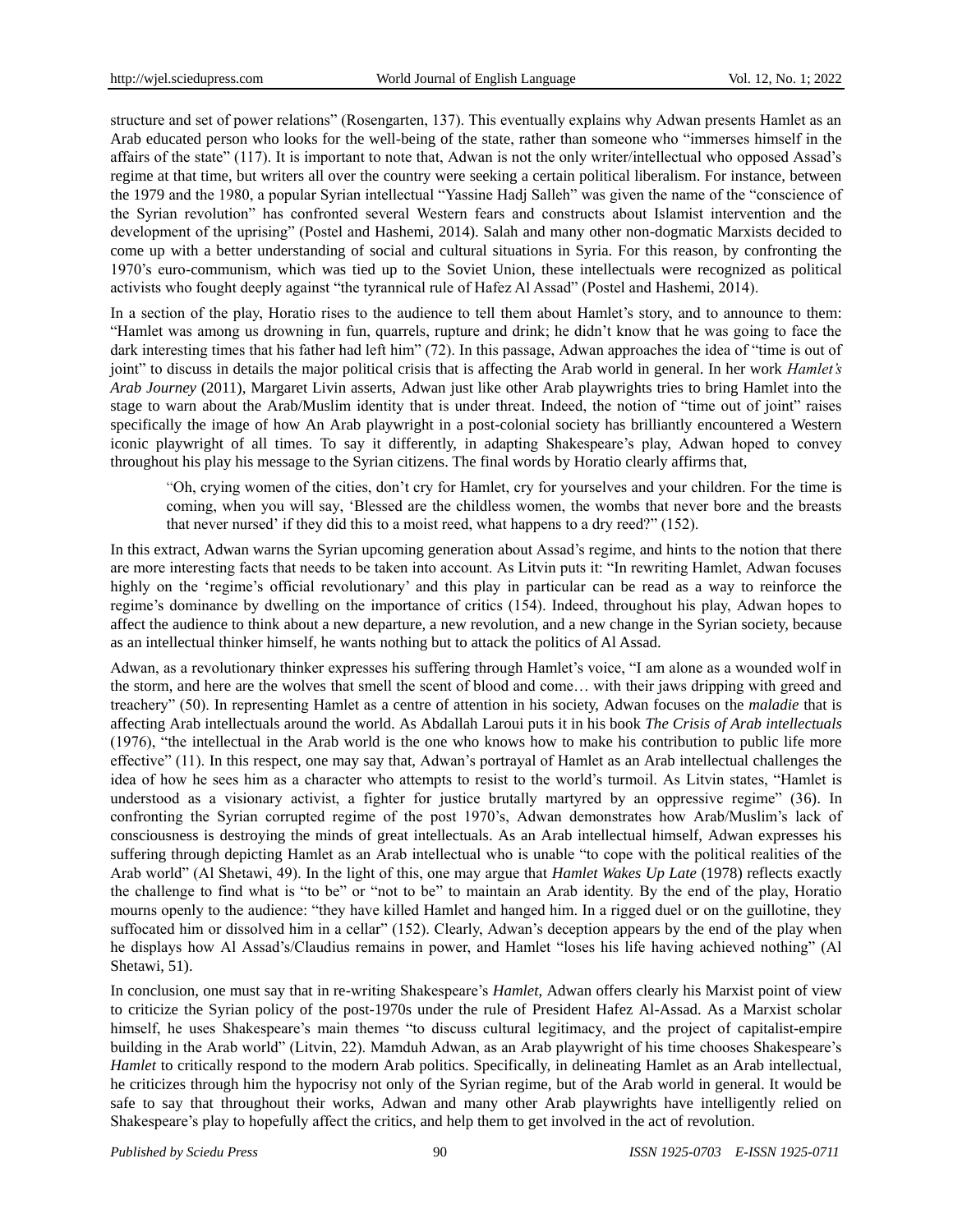structure and set of power relations" (Rosengarten, 137). This eventually explains why Adwan presents Hamlet as an Arab educated person who looks for the well-being of the state, rather than someone who "immerses himself in the affairs of the state" (117). It is important to note that, Adwan is not the only writer/intellectual who opposed Assad"s regime at that time, but writers all over the country were seeking a certain political liberalism. For instance, between the 1979 and the 1980, a popular Syrian intellectual "Yassine Hadj Salleh" was given the name of the "conscience of the Syrian revolution" has confronted several Western fears and constructs about Islamist intervention and the development of the uprising" (Postel and Hashemi, 2014). Salah and many other non-dogmatic Marxists decided to come up with a better understanding of social and cultural situations in Syria. For this reason, by confronting the 1970"s euro-communism, which was tied up to the Soviet Union, these intellectuals were recognized as political activists who fought deeply against "the tyrannical rule of Hafez Al Assad" (Postel and Hashemi, 2014).

In a section of the play, Horatio rises to the audience to tell them about Hamlet's story, and to announce to them: "Hamlet was among us drowning in fun, quarrels, rupture and drink; he didn"t know that he was going to face the dark interesting times that his father had left him" (72). In this passage, Adwan approaches the idea of "time is out of joint" to discuss in details the major political crisis that is affecting the Arab world in general. In her work *Hamlet's Arab Journey* (2011), Margaret Livin asserts, Adwan just like other Arab playwrights tries to bring Hamlet into the stage to warn about the Arab/Muslim identity that is under threat. Indeed, the notion of "time out of joint" raises specifically the image of how An Arab playwright in a post-colonial society has brilliantly encountered a Western iconic playwright of all times. To say it differently, in adapting Shakespeare"s play, Adwan hoped to convey throughout his play his message to the Syrian citizens. The final words by Horatio clearly affirms that,

"Oh, crying women of the cities, don"t cry for Hamlet, cry for yourselves and your children. For the time is coming, when you will say, "Blessed are the childless women, the wombs that never bore and the breasts that never nursed" if they did this to a moist reed, what happens to a dry reed?" (152).

In this extract, Adwan warns the Syrian upcoming generation about Assad"s regime, and hints to the notion that there are more interesting facts that needs to be taken into account. As Litvin puts it: "In rewriting Hamlet, Adwan focuses highly on the 'regime's official revolutionary' and this play in particular can be read as a way to reinforce the regime"s dominance by dwelling on the importance of critics (154). Indeed, throughout his play, Adwan hopes to affect the audience to think about a new departure, a new revolution, and a new change in the Syrian society, because as an intellectual thinker himself, he wants nothing but to attack the politics of Al Assad.

Adwan, as a revolutionary thinker expresses his suffering through Hamlet"s voice, "I am alone as a wounded wolf in the storm, and here are the wolves that smell the scent of blood and come… with their jaws dripping with greed and treachery" (50). In representing Hamlet as a centre of attention in his society, Adwan focuses on the *maladie* that is affecting Arab intellectuals around the world. As Abdallah Laroui puts it in his book *The Crisis of Arab intellectuals* (1976), "the intellectual in the Arab world is the one who knows how to make his contribution to public life more effective" (11). In this respect, one may say that, Adwan"s portrayal of Hamlet as an Arab intellectual challenges the idea of how he sees him as a character who attempts to resist to the world"s turmoil. As Litvin states, "Hamlet is understood as a visionary activist, a fighter for justice brutally martyred by an oppressive regime" (36). In confronting the Syrian corrupted regime of the post 1970"s, Adwan demonstrates how Arab/Muslim"s lack of consciousness is destroying the minds of great intellectuals. As an Arab intellectual himself, Adwan expresses his suffering through depicting Hamlet as an Arab intellectual who is unable "to cope with the political realities of the Arab world" (Al Shetawi, 49). In the light of this, one may argue that *Hamlet Wakes Up Late* (1978) reflects exactly the challenge to find what is "to be" or "not to be" to maintain an Arab identity. By the end of the play, Horatio mourns openly to the audience: "they have killed Hamlet and hanged him. In a rigged duel or on the guillotine, they suffocated him or dissolved him in a cellar" (152). Clearly, Adwan's deception appears by the end of the play when he displays how Al Assad"s/Claudius remains in power, and Hamlet "loses his life having achieved nothing" (Al Shetawi, 51).

In conclusion, one must say that in re-writing Shakespeare"s *Hamlet*, Adwan offers clearly his Marxist point of view to criticize the Syrian policy of the post-1970s under the rule of President Hafez Al-Assad. As a Marxist scholar himself, he uses Shakespeare's main themes "to discuss cultural legitimacy, and the project of capitalist-empire building in the Arab world" (Litvin, 22). Mamduh Adwan, as an Arab playwright of his time chooses Shakespeare"s *Hamlet* to critically respond to the modern Arab politics. Specifically, in delineating Hamlet as an Arab intellectual, he criticizes through him the hypocrisy not only of the Syrian regime, but of the Arab world in general. It would be safe to say that throughout their works, Adwan and many other Arab playwrights have intelligently relied on Shakespeare"s play to hopefully affect the critics, and help them to get involved in the act of revolution.